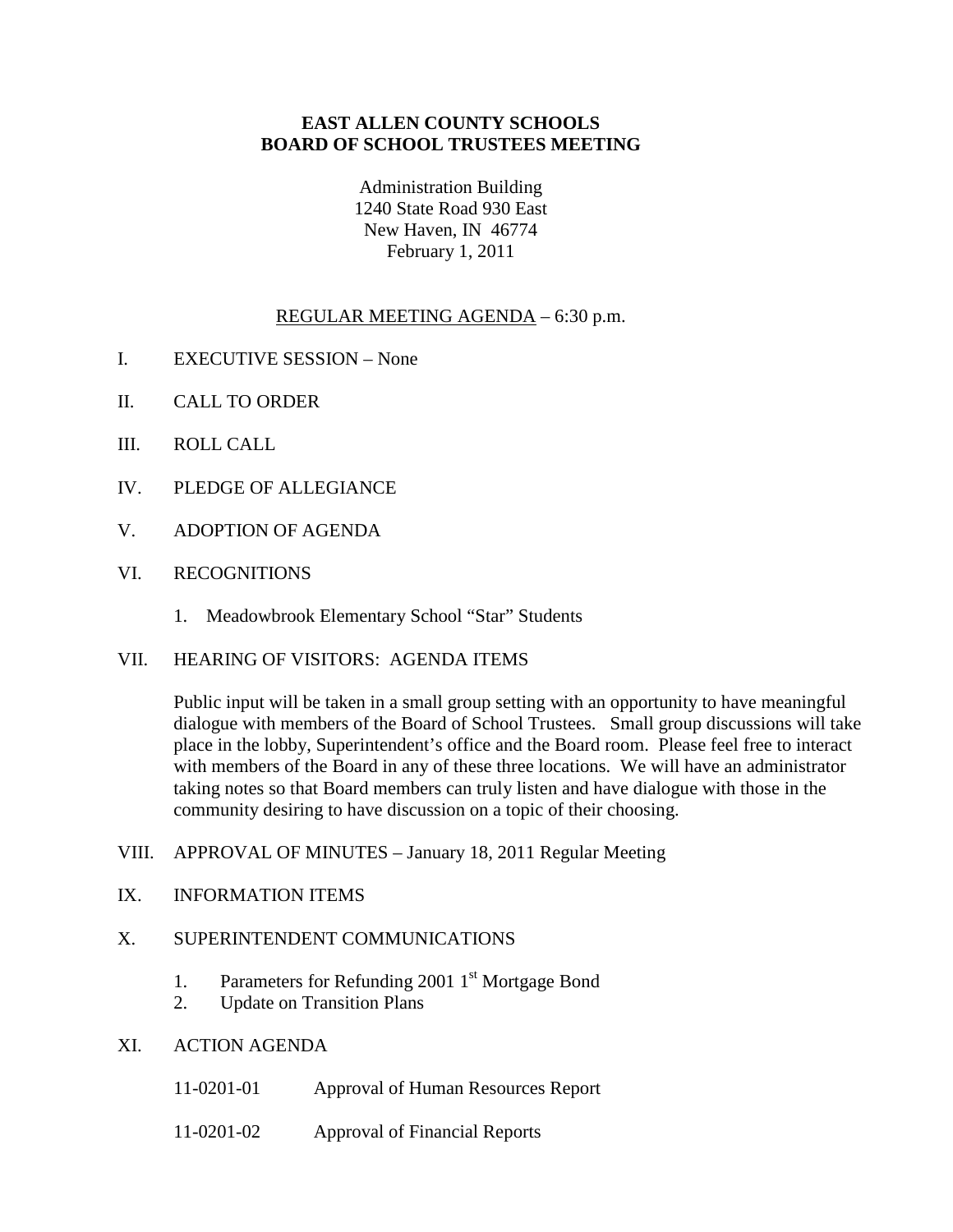## **EAST ALLEN COUNTY SCHOOLS BOARD OF SCHOOL TRUSTEES MEETING**

Administration Building 1240 State Road 930 East New Haven, IN 46774 February 1, 2011

# REGULAR MEETING AGENDA – 6:30 p.m.

- I. EXECUTIVE SESSION None
- II. CALL TO ORDER
- III. ROLL CALL
- IV. PLEDGE OF ALLEGIANCE
- V. ADOPTION OF AGENDA
- VI. RECOGNITIONS
	- 1. Meadowbrook Elementary School "Star" Students
- VII. HEARING OF VISITORS: AGENDA ITEMS

Public input will be taken in a small group setting with an opportunity to have meaningful dialogue with members of the Board of School Trustees. Small group discussions will take place in the lobby, Superintendent's office and the Board room. Please feel free to interact with members of the Board in any of these three locations. We will have an administrator taking notes so that Board members can truly listen and have dialogue with those in the community desiring to have discussion on a topic of their choosing.

- VIII. APPROVAL OF MINUTES January 18, 2011 Regular Meeting
- IX. INFORMATION ITEMS

#### X. SUPERINTENDENT COMMUNICATIONS

- 1. Parameters for Refunding 2001  $1<sup>st</sup>$  Mortgage Bond
- 2. Update on Transition Plans
- XI. ACTION AGENDA
	- 11-0201-01 Approval of Human Resources Report
	- 11-0201-02 Approval of Financial Reports